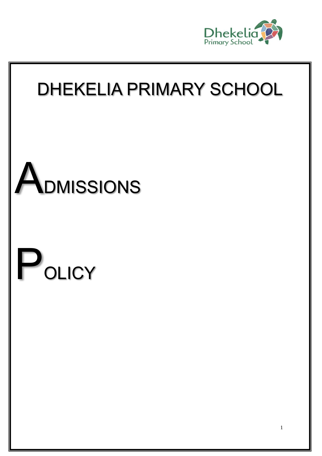

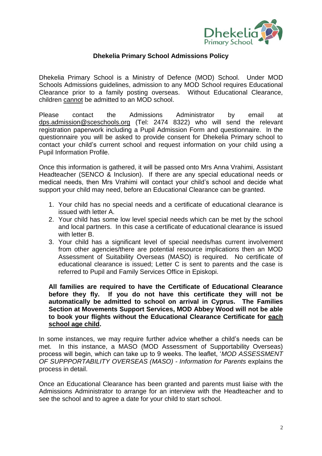

## **Dhekelia Primary School Admissions Policy**

Dhekelia Primary School is a Ministry of Defence (MOD) School. Under MOD Schools Admissions guidelines, admission to any MOD School requires Educational Clearance prior to a family posting overseas. Without Educational Clearance, children cannot be admitted to an MOD school.

Please contact the Admissions Administrator by email at [dps.admission@sceschools.org](mailto:dps.admission@sceschools.org) (Tel: 2474 8322) who will send the relevant registration paperwork including a Pupil Admission Form and questionnaire. In the questionnaire you will be asked to provide consent for Dhekelia Primary school to contact your child's current school and request information on your child using a Pupil Information Profile.

Once this information is gathered, it will be passed onto Mrs Anna Vrahimi, Assistant Headteacher (SENCO & Inclusion). If there are any special educational needs or medical needs, then Mrs Vrahimi will contact your child's school and decide what support your child may need, before an Educational Clearance can be granted.

- 1. Your child has no special needs and a certificate of educational clearance is issued with letter A.
- 2. Your child has some low level special needs which can be met by the school and local partners. In this case a certificate of educational clearance is issued with letter B.
- 3. Your child has a significant level of special needs/has current involvement from other agencies/there are potential resource implications then an MOD Assessment of Suitability Overseas (MASO) is required. No certificate of educational clearance is issued; Letter C is sent to parents and the case is referred to Pupil and Family Services Office in Episkopi.

**All families are required to have the Certificate of Educational Clearance before they fly. If you do not have this certificate they will not be automatically be admitted to school on arrival in Cyprus. The Families Section at Movements Support Services, MOD Abbey Wood will not be able to book your flights without the Educational Clearance Certificate for each school age child.**

In some instances, we may require further advice whether a child's needs can be met. In this instance, a MASO (MOD Assessment of Supportability Overseas) process will begin, which can take up to 9 weeks. The leaflet, '*MOD ASSESSMENT OF SUPPPORTABILITY OVERSEAS (MASO) - Information for Parents* explains the process in detail.

Once an Educational Clearance has been granted and parents must liaise with the Admissions Administrator to arrange for an interview with the Headteacher and to see the school and to agree a date for your child to start school.